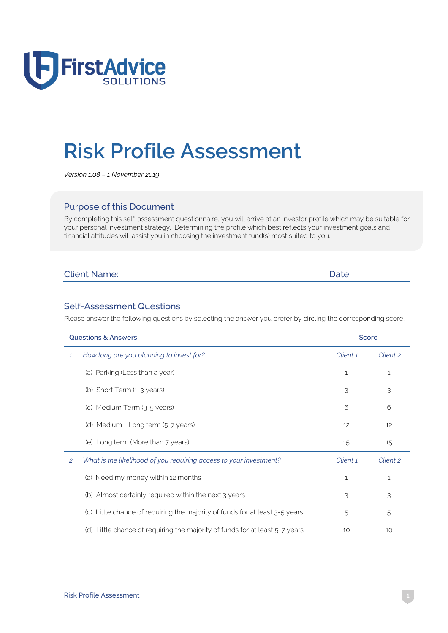

# **Risk Profile Assessment**

*Version 1.08 – 1 November 2019*

#### Purpose of this Document

By completing this self-assessment questionnaire, you will arrive at an investor profile which may be suitable for your personal investment strategy. Determining the profile which best reflects your investment goals and financial attitudes will assist you in choosing the investment fund(s) most suited to you.

| <b>Client Name:</b> | Date: |
|---------------------|-------|
|                     |       |

#### Self-Assessment Questions

Please answer the following questions by selecting the answer you prefer by circling the corresponding score.

|              | <b>Questions &amp; Answers</b>                                              | <b>Score</b> |              |
|--------------|-----------------------------------------------------------------------------|--------------|--------------|
| $\mathbf{1}$ | How long are you planning to invest for?                                    | Client 1     | Client 2     |
|              | (a) Parking (Less than a year)                                              | $\mathbf{1}$ | $\mathbf{1}$ |
|              | (b) Short Term (1-3 years)                                                  | 3            | 3            |
|              | (c) Medium Term (3-5 years)                                                 | 6            | 6            |
|              | (d) Medium - Long term (5-7 years)                                          | 12           | 12           |
|              | (e) Long term (More than 7 years)                                           | 15           | 15           |
| 2.           | What is the likelihood of you requiring access to your investment?          | Client 1     | Client 2     |
|              | (a) Need my money within 12 months                                          | $\mathbf{1}$ | 1            |
|              | (b) Almost certainly required within the next 3 years                       | 3            | 3            |
|              | (c) Little chance of requiring the majority of funds for at least 3-5 years | 5            | 5            |
|              | (d) Little chance of requiring the majority of funds for at least 5-7 years | 10           | 10           |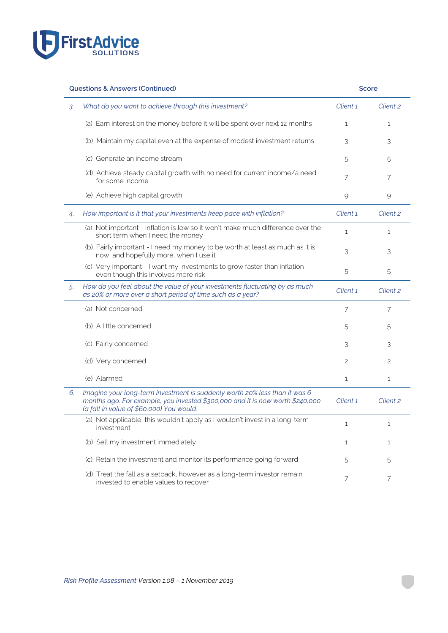

|    | <b>Questions &amp; Answers (Continued)</b>                                                                                                                                                              | <b>Score</b> |              |
|----|---------------------------------------------------------------------------------------------------------------------------------------------------------------------------------------------------------|--------------|--------------|
| 3. | What do you want to achieve through this investment?                                                                                                                                                    | Client 1     | Client 2     |
|    | (a) Earn interest on the money before it will be spent over next 12 months                                                                                                                              | 1            | $\mathbf{1}$ |
|    | (b) Maintain my capital even at the expense of modest investment returns                                                                                                                                | 3            | 3            |
|    | (c) Generate an income stream                                                                                                                                                                           | 5            | 5            |
|    | (d) Achieve steady capital growth with no need for current income/a need<br>for some income                                                                                                             | 7            | 7            |
|    | (e) Achieve high capital growth                                                                                                                                                                         | 9            | 9            |
| 4. | How important is it that your investments keep pace with inflation?                                                                                                                                     | Client 1     | Client 2     |
|    | (a) Not important - inflation is low so it won't make much difference over the<br>short term when I need the money                                                                                      | $\mathbf{1}$ | 1            |
|    | (b) Fairly important - I need my money to be worth at least as much as it is<br>now, and hopefully more, when I use it                                                                                  | 3            | 3            |
|    | (c) Very important - I want my investments to grow faster than inflation<br>even though this involves more risk                                                                                         | 5            | 5            |
| 5. | How do you feel about the value of your investments fluctuating by as much<br>as 20% or more over a short period of time such as a year?                                                                | Client 1     | Client 2     |
|    | (a) Not concerned                                                                                                                                                                                       | 7            | 7            |
|    | (b) A little concerned                                                                                                                                                                                  | 5            | 5            |
|    | (c) Fairly concerned                                                                                                                                                                                    | 3            | 3            |
|    | (d) Very concerned                                                                                                                                                                                      | 2            | 2            |
|    | (e) Alarmed                                                                                                                                                                                             | 1            | $\mathbf{1}$ |
| 6. | Imagine your long-term investment is suddenly worth 20% less than it was 6<br>months ago. For example, you invested \$300,000 and it is now worth \$240,000<br>(a fall in value of \$60,000) You would: | Client 1     | Client 2     |
|    | (a) Not applicable, this wouldn't apply as I wouldn't invest in a long-term<br>investment                                                                                                               | 1            | $\mathbf{1}$ |
|    | (b) Sell my investment immediately                                                                                                                                                                      | 1            | $\mathbf{1}$ |
|    | (c) Retain the investment and monitor its performance going forward                                                                                                                                     | 5            | 5            |
|    | (d) Treat the fall as a setback, however as a long-term investor remain<br>invested to enable values to recover                                                                                         | 7            | 7            |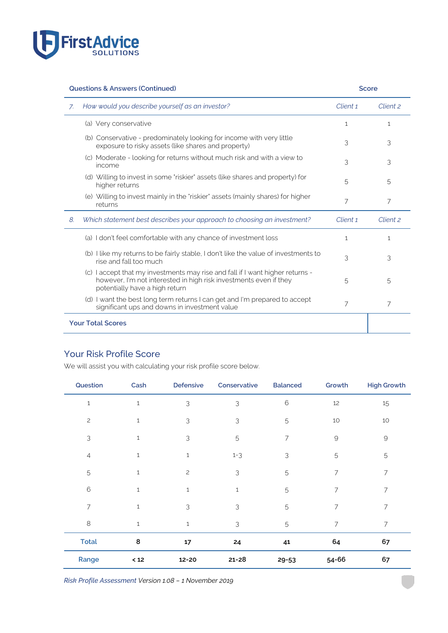

|    | <b>Questions &amp; Answers (Continued)</b>                                                                                                                                           | <b>Score</b> |              |
|----|--------------------------------------------------------------------------------------------------------------------------------------------------------------------------------------|--------------|--------------|
| 7. | How would you describe yourself as an investor?                                                                                                                                      | Client 1     | Client 2     |
|    | (a) Very conservative                                                                                                                                                                | $\mathbf{1}$ | $\mathbf{1}$ |
|    | (b) Conservative - predominately looking for income with very little<br>exposure to risky assets (like shares and property)                                                          | 3            | 3            |
|    | (c) Moderate - looking for returns without much risk and with a view to<br>income                                                                                                    | 3            | 3            |
|    | (d) Willing to invest in some "riskier" assets (like shares and property) for<br>higher returns                                                                                      | 5            | 5            |
|    | (e) Willing to invest mainly in the 'riskier' assets (mainly shares) for higher<br>returns                                                                                           | 7            | 7            |
| 8. | Which statement best describes your approach to choosing an investment?                                                                                                              | Client 1     | Client 2     |
|    | (a) I don't feel comfortable with any chance of investment loss                                                                                                                      | $\mathbf{1}$ | $\mathbf{1}$ |
|    | (b) I like my returns to be fairly stable, I don't like the value of investments to<br>rise and fall too much                                                                        | 3            | 3            |
|    | (c) I accept that my investments may rise and fall if I want higher returns -<br>however, I'm not interested in high risk investments even if they<br>potentially have a high return | 5            | 5            |
|    | (d) I want the best long term returns I can get and I'm prepared to accept<br>significant ups and downs in investment value                                                          | 7            | 7            |
|    | <b>Your Total Scores</b>                                                                                                                                                             |              |              |

## Your Risk Profile Score

We will assist you with calculating your risk profile score below.

| Question     | Cash | Defensive      | Conservative  | <b>Balanced</b> | Growth              | <b>High Growth</b>  |
|--------------|------|----------------|---------------|-----------------|---------------------|---------------------|
| $\mathbf{1}$ | 1    | $\mathsf 3$    | 3             | $\mathbf 6$     | $12\,$              | 15                  |
| $\mathbf{2}$ | 1    | 3              | 3             | 5               | 10                  | 10                  |
| 3            | 1    | 3              | 5             | 7               | $\mathcal{G}% _{0}$ | $\mathcal{G}% _{0}$ |
| 4            | 1    | $\mathbf{1}$   | $1 - 3$       | 3               | 5                   | 5                   |
| 5            | 1    | $\overline{c}$ | 3             | 5               | 7                   | 7                   |
| $6\,$        | 1    | $\mathbf{1}$   | $\mathbf{1}$  | 5               | 7                   | 7                   |
| 7            | 1    | 3              | 3             | 5               | 7                   | 7                   |
| $\,8\,$      | 1    | $1\,$          | $\mathcal{S}$ | 5               | 7                   | 7                   |
| <b>Total</b> | 8    | 17             | 24            | 41              | 64                  | 67                  |
| Range        | $12$ | 12-20          | $21 - 28$     | $29 - 53$       | 54-66               | 67                  |

*Risk Profile Assessment Version 1.08 – 1 November 2019*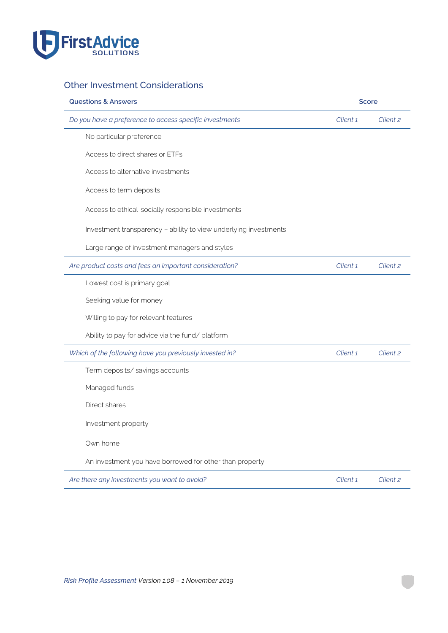

# Other Investment Considerations

| <b>Questions &amp; Answers</b>                                   |          | <b>Score</b> |  |
|------------------------------------------------------------------|----------|--------------|--|
| Do you have a preference to access specific investments          | Client 1 | Client 2     |  |
| No particular preference                                         |          |              |  |
| Access to direct shares or ETFs                                  |          |              |  |
| Access to alternative investments                                |          |              |  |
| Access to term deposits                                          |          |              |  |
| Access to ethical-socially responsible investments               |          |              |  |
| Investment transparency - ability to view underlying investments |          |              |  |
| Large range of investment managers and styles                    |          |              |  |
| Are product costs and fees an important consideration?           | Client 1 | Client 2     |  |
| Lowest cost is primary goal                                      |          |              |  |
| Seeking value for money                                          |          |              |  |
| Willing to pay for relevant features                             |          |              |  |
| Ability to pay for advice via the fund/ platform                 |          |              |  |
| Which of the following have you previously invested in?          | Client 1 | Client 2     |  |
| Term deposits/ savings accounts                                  |          |              |  |
| Managed funds                                                    |          |              |  |
| Direct shares                                                    |          |              |  |
| Investment property                                              |          |              |  |
| Own home                                                         |          |              |  |
| An investment you have borrowed for other than property          |          |              |  |
| Are there any investments you want to avoid?                     | Client 1 | Client 2     |  |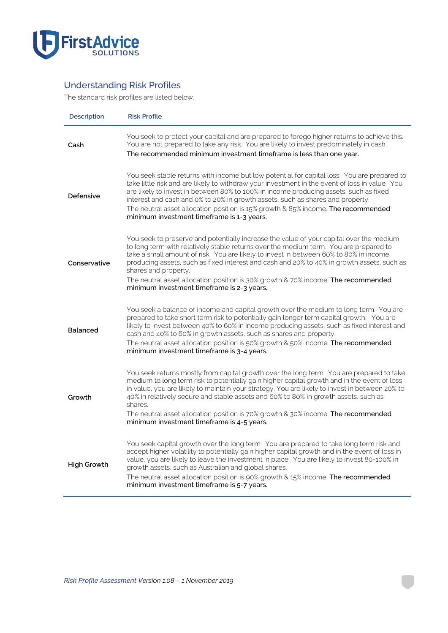

# Understanding Risk Profiles

The standard risk profiles are listed below.

| Description        | <b>Risk Profile</b>                                                                                                                                                                                                                                                                                                                                                                                                                                                                                                                |
|--------------------|------------------------------------------------------------------------------------------------------------------------------------------------------------------------------------------------------------------------------------------------------------------------------------------------------------------------------------------------------------------------------------------------------------------------------------------------------------------------------------------------------------------------------------|
| Cash               | You seek to protect your capital and are prepared to forego higher returns to achieve this.<br>You are not prepared to take any risk. You are likely to invest predominately in cash.<br>The recommended minimum investment timeframe is less than one year.                                                                                                                                                                                                                                                                       |
| Defensive          | You seek stable returns with income but low potential for capital loss. You are prepared to<br>take little risk and are likely to withdraw your investment in the event of loss in value. You<br>are likely to invest in between 80% to 100% in income producing assets, such as fixed<br>interest and cash and 0% to 20% in growth assets, such as shares and property.<br>The neutral asset allocation position is 15% growth & 85% income. The recommended<br>minimum investment timeframe is 1-3 years.                        |
| Conservative       | You seek to preserve and potentially increase the value of your capital over the medium<br>to long term with relatively stable returns over the medium term. You are prepared to<br>take a small amount of risk. You are likely to invest in between 60% to 80% in income<br>producing assets, such as fixed interest and cash and 20% to 40% in growth assets, such as<br>shares and property.<br>The neutral asset allocation position is 30% growth & 70% income. The recommended<br>minimum investment timeframe is 2-3 years. |
| <b>Balanced</b>    | You seek a balance of income and capital growth over the medium to long term. You are<br>prepared to take short term risk to potentially gain longer term capital growth. You are<br>likely to invest between 40% to 60% in income producing assets, such as fixed interest and<br>cash and 40% to 60% in growth assets, such as shares and property.<br>The neutral asset allocation position is 50% growth & 50% income. The recommended<br>minimum investment timeframe is 3-4 years.                                           |
| Growth             | You seek returns mostly from capital growth over the long term. You are prepared to take<br>medium to long term risk to potentially gain higher capital growth and in the event of loss<br>in value, you are likely to maintain your strategy. You are likely to invest in between 20% to<br>40% in relatively secure and stable assets and 60% to 80% in growth assets, such as<br>shares.<br>The neutral asset allocation position is 70% growth & 30% income. The recommended<br>minimum investment timeframe is 4-5 years.     |
| <b>High Growth</b> | You seek capital growth over the long term. You are prepared to take long term risk and<br>accept higher volatility to potentially gain higher capital growth and in the event of loss in<br>value, you are likely to leave the investment in place. You are likely to invest 80-100% in<br>growth assets, such as Australian and global shares.<br>The neutral asset allocation position is 90% growth & 15% income. The recommended<br>minimum investment timeframe is 5-7 years.                                                |